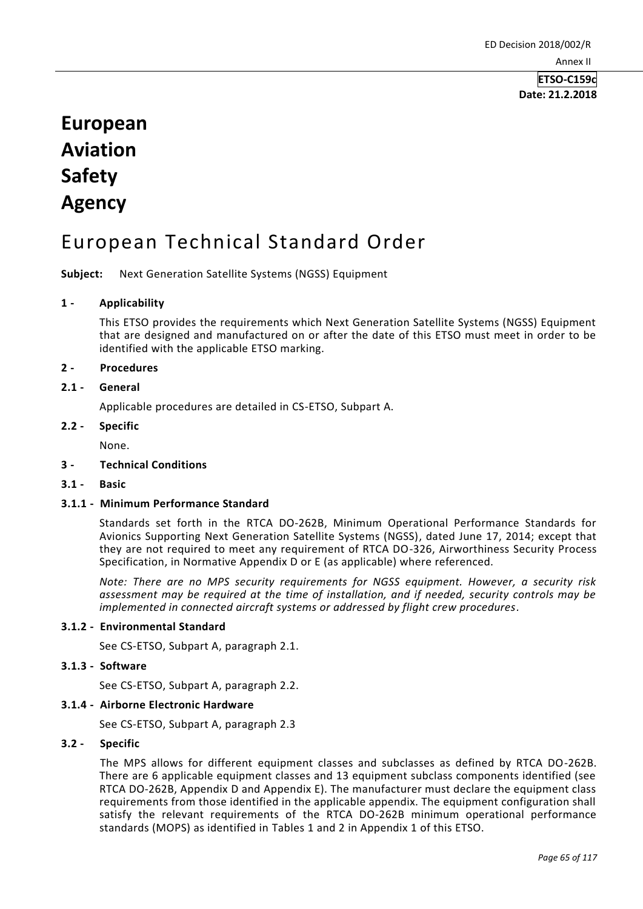**ETSO-C159c Date: 21.2.2018**

# **European Aviation Safety Agency**

## European Technical Standard Order

**Subject:** Next Generation Satellite Systems (NGSS) Equipment

## **1 - Applicability**

This ETSO provides the requirements which Next Generation Satellite Systems (NGSS) Equipment that are designed and manufactured on or after the date of this ETSO must meet in order to be identified with the applicable ETSO marking.

## **2 - Procedures**

## **2.1 - General**

Applicable procedures are detailed in CS-ETSO, Subpart A.

#### **2.2 - Specific**

None.

## **3 - Technical Conditions**

**3.1 - Basic**

## **3.1.1 - Minimum Performance Standard**

Standards set forth in the RTCA DO-262B, Minimum Operational Performance Standards for Avionics Supporting Next Generation Satellite Systems (NGSS), dated June 17, 2014; except that they are not required to meet any requirement of RTCA DO-326, Airworthiness Security Process Specification, in Normative Appendix D or E (as applicable) where referenced.

*Note: There are no MPS security requirements for NGSS equipment. However, a security risk assessment may be required at the time of installation, and if needed, security controls may be implemented in connected aircraft systems or addressed by flight crew procedures.*

## **3.1.2 - Environmental Standard**

See CS-ETSO, Subpart A, paragraph 2.1.

#### **3.1.3 - Software**

See CS-ETSO, Subpart A, paragraph 2.2.

## **3.1.4 - Airborne Electronic Hardware**

See CS-ETSO, Subpart A, paragraph 2.3

## **3.2 - Specific**

The MPS allows for different equipment classes and subclasses as defined by RTCA DO-262B. There are 6 applicable equipment classes and 13 equipment subclass components identified (see RTCA DO-262B, Appendix D and Appendix E). The manufacturer must declare the equipment class requirements from those identified in the applicable appendix. The equipment configuration shall satisfy the relevant requirements of the RTCA DO-262B minimum operational performance standards (MOPS) as identified in Tables 1 and 2 in Appendix 1 of this ETSO.